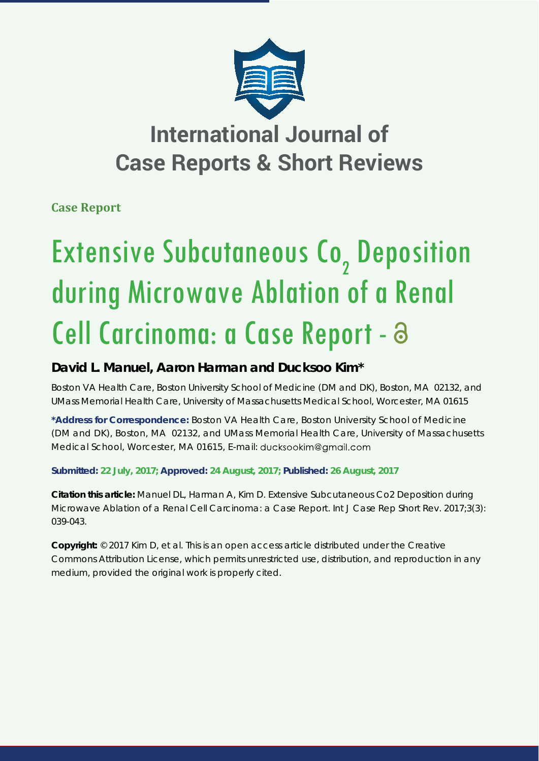

# **International Journal of Case Reports & Short Reviews**

**Case Report**

# Extensive Subcutaneous Co<sub>2</sub> Deposition during Microwave Ablation of a Renal Cell Carcinoma: a Case Report -

## **David L. Manuel, Aaron Harman and Ducksoo Kim\***

Boston VA Health Care, Boston University School of Medicine (DM and DK), Boston, MA 02132, and *UMass Memorial Health Care, University of Massachusetts Medical School, Worcester, MA 01615*

**\*Address for Correspondence:** Boston VA Health Care, Boston University School of Medicine (DM and DK), Boston, MA 02132, and UMass Memorial Health Care, University of Massachusetts Medical School, Worcester, MA 01615, E-mail: ducksookim@gmail.com

**Submitted: 22 July, 2017; Approved: 24 August, 2017; Published: 26 August, 2017**

**Citation this article:** Manuel DL, Harman A, Kim D. Extensive Subcutaneous Co2 Deposition during Microwave Ablation of a Renal Cell Carcinoma: a Case Report. Int J Case Rep Short Rev. 2017;3(3): 039-043.

**Copyright:** © 2017 Kim D, et al. This is an open access article distributed under the Creative Commons Attribution License, which permits unrestricted use, distribution, and reproduction in any medium, provided the original work is properly cited.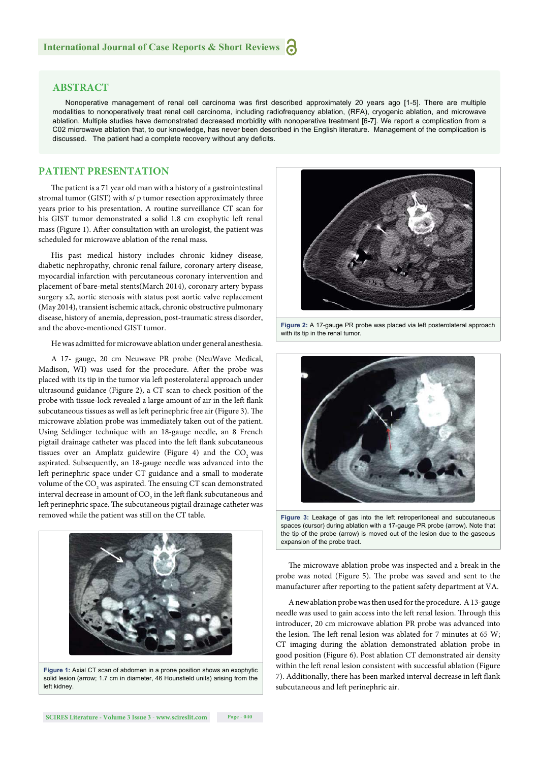#### **ABSTRACT**

Nonoperative management of renal cell carcinoma was first described approximately 20 years ago [1-5]. There are multiple modalities to nonoperatively treat renal cell carcinoma, including radiofrequency ablation, (RFA), cryogenic ablation, and microwave ablation. Multiple studies have demonstrated decreased morbidity with nonoperative treatment [6-7]. We report a complication from a C02 microwave ablation that, to our knowledge, has never been described in the English literature. Management of the complication is discussed. The patient had a complete recovery without any deficits.

#### **PATIENT PRESENTATION**

The patient is a 71 year old man with a history of a gastrointestinal stromal tumor (GIST) with s/ p tumor resection approximately three years prior to his presentation. A routine surveillance CT scan for his GIST tumor demonstrated a solid 1.8 cm exophytic left renal mass (Figure 1). After consultation with an urologist, the patient was scheduled for microwave ablation of the renal mass.

His past medical history includes chronic kidney disease, diabetic nephropathy, chronic renal failure, coronary artery disease, myocardial infarction with percutaneous coronary intervention and placement of bare-metal stents(March 2014), coronary artery bypass surgery x2, aortic stenosis with status post aortic valve replacement (May 2014), transient ischemic attack, chronic obstructive pulmonary disease, history of anemia, depression, post-traumatic stress disorder, and the above-mentioned GIST tumor.

He was admitted for microwave ablation under general anesthesia.

A 17- gauge, 20 cm Neuwave PR probe (NeuWave Medical, Madison, WI) was used for the procedure. After the probe was placed with its tip in the tumor via left posterolateral approach under ultrasound guidance (Figure 2), a CT scan to check position of the probe with tissue-lock revealed a large amount of air in the left flank subcutaneous tissues as well as left perinephric free air (Figure 3). The microwave ablation probe was immediately taken out of the patient. Using Seldinger technique with an 18-gauge needle, an 8 French pigtail drainage catheter was placed into the left flank subcutaneous tissues over an Amplatz guidewire (Figure 4) and the CO<sub>2</sub> was aspirated. Subsequently, an 18-gauge needle was advanced into the left perinephric space under CT guidance and a small to moderate volume of the  $\mathrm{CO}_\mathrm{2}$  was aspirated. The ensuing CT scan demonstrated interval decrease in amount of CO<sub>2</sub> in the left flank subcutaneous and left perinephric space. The subcutaneous pigtail drainage catheter was removed while the patient was still on the CT table.



**Figure 1:** Axial CT scan of abdomen in a prone position shows an exophytic solid lesion (arrow; 1.7 cm in diameter, 46 Hounsfield units) arising from the left kidney.



**Figure 2:** A 17-gauge PR probe was placed via left posterolateral approach with its tip in the renal tumor.



**Figure 3:** Leakage of gas into the left retroperitoneal and subcutaneous spaces (cursor) during ablation with a 17-gauge PR probe (arrow). Note that the tip of the probe (arrow) is moved out of the lesion due to the gaseous expansion of the probe tract.

The microwave ablation probe was inspected and a break in the probe was noted (Figure 5). The probe was saved and sent to the manufacturer after reporting to the patient safety department at VA.

A new ablation probe was then used for the procedure. A 13-gauge needle was used to gain access into the left renal lesion. Through this introducer, 20 cm microwave ablation PR probe was advanced into the lesion. The left renal lesion was ablated for 7 minutes at 65 W; CT imaging during the ablation demonstrated ablation probe in good position (Figure 6). Post ablation CT demonstrated air density within the left renal lesion consistent with successful ablation (Figure 7). Additionally, there has been marked interval decrease in left flank subcutaneous and left perinephric air.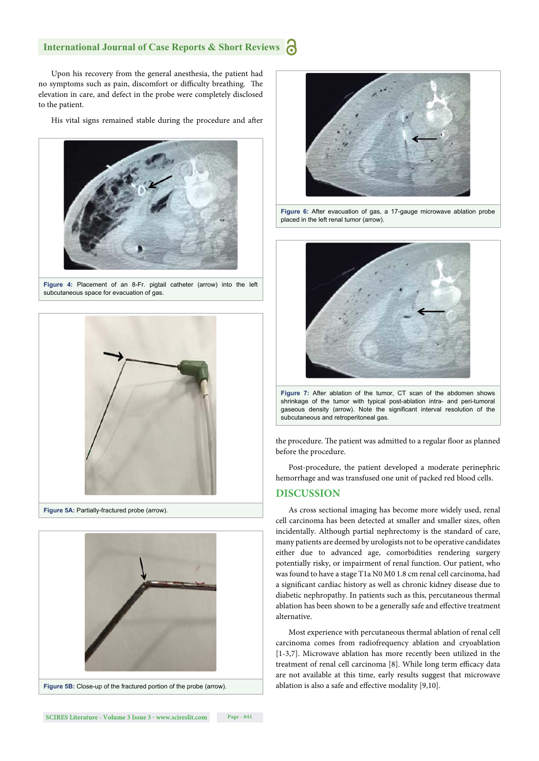### **International Journal of Case Reports & Short Reviews**

Upon his recovery from the general anesthesia, the patient had no symptoms such as pain, discomfort or difficulty breathing. The elevation in care, and defect in the probe were completely disclosed to the patient.

His vital signs remained stable during the procedure and after



**Figure 4:** Placement of an 8-Fr. pigtail catheter (arrow) into the left subcutaneous space for evacuation of gas







**Figure 6:** After evacuation of gas, a 17-gauge microwave ablation probe placed in the left renal tumor (arrow).



**Figure 7:** After ablation of the tumor, CT scan of the abdomen shows shrinkage of the tumor with typical post-ablation intra- and peri-tumoral gaseous density (arrow). Note the significant interval resolution of the subcutaneous and retroperitoneal gas.

the procedure. The patient was admitted to a regular floor as planned before the procedure.

Post-procedure, the patient developed a moderate perinephric hemorrhage and was transfused one unit of packed red blood cells.

#### **DISCUSSION**

As cross sectional imaging has become more widely used, renal cell carcinoma has been detected at smaller and smaller sizes, often incidentally. Although partial nephrectomy is the standard of care, many patients are deemed by urologists not to be operative candidates either due to advanced age, comorbidities rendering surgery potentially risky, or impairment of renal function. Our patient, who was found to have a stage T1a N0 M0 1.8 cm renal cell carcinoma, had a significant cardiac history as well as chronic kidney disease due to diabetic nephropathy. In patients such as this, percutaneous thermal ablation has been shown to be a generally safe and effective treatment alternative.

Most experience with percutaneous thermal ablation of renal cell carcinoma comes from radiofrequency ablation and cryoablation [1-3,7]. Microwave ablation has more recently been utilized in the treatment of renal cell carcinoma [8]. While long term efficacy data are not available at this time, early results suggest that microwave ablation is also a safe and effective modality [9,10].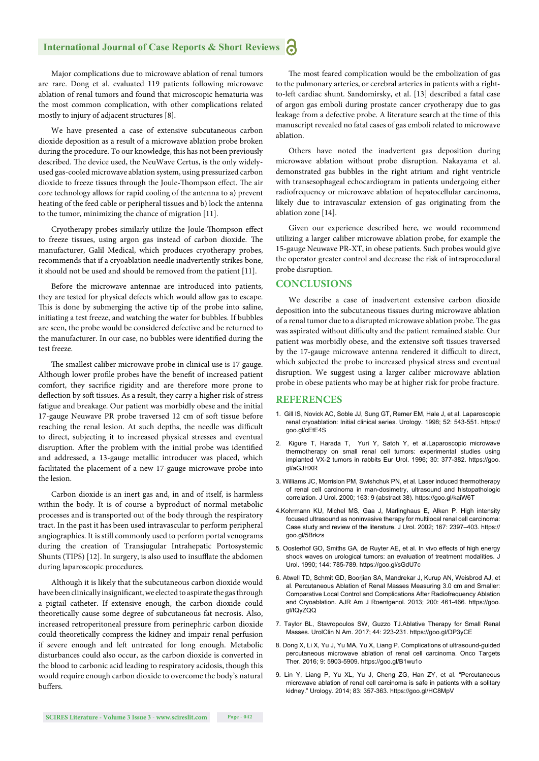#### **International Journal of Case Reports & Short Reviews** a

Major complications due to microwave ablation of renal tumors are rare. Dong et al. evaluated 119 patients following microwave ablation of renal tumors and found that microscopic hematuria was the most common complication, with other complications related mostly to injury of adjacent structures [8].

We have presented a case of extensive subcutaneous carbon dioxide deposition as a result of a microwave ablation probe broken during the procedure. To our knowledge, this has not been previously described. The device used, the NeuWave Certus, is the only widelyused gas-cooled microwave ablation system, using pressurized carbon dioxide to freeze tissues through the Joule-Thompson effect. The air core technology allows for rapid cooling of the antenna to a) prevent heating of the feed cable or peripheral tissues and b) lock the antenna to the tumor, minimizing the chance of migration [11].

Cryotherapy probes similarly utilize the Joule-Thompson effect to freeze tissues, using argon gas instead of carbon dioxide. The manufacturer, Galil Medical, which produces cryotherapy probes, recommends that if a cryoablation needle inadvertently strikes bone, it should not be used and should be removed from the patient [11].

Before the microwave antennae are introduced into patients, they are tested for physical defects which would allow gas to escape. This is done by submerging the active tip of the probe into saline, initiating a test freeze, and watching the water for bubbles. If bubbles are seen, the probe would be considered defective and be returned to the manufacturer. In our case, no bubbles were identified during the test freeze.

The smallest caliber microwave probe in clinical use is 17 gauge. Although lower profile probes have the benefit of increased patient comfort, they sacrifice rigidity and are therefore more prone to deflection by soft tissues. As a result, they carry a higher risk of stress fatigue and breakage. Our patient was morbidly obese and the initial 17-gauge Neuwave PR probe traversed 12 cm of soft tissue before reaching the renal lesion. At such depths, the needle was difficult to direct, subjecting it to increased physical stresses and eventual disruption. After the problem with the initial probe was identified and addressed, a 13-gauge metallic introducer was placed, which facilitated the placement of a new 17-gauge microwave probe into the lesion.

Carbon dioxide is an inert gas and, in and of itself, is harmless within the body. It is of course a byproduct of normal metabolic processes and is transported out of the body through the respiratory tract. In the past it has been used intravascular to perform peripheral angiographies. It is still commonly used to perform portal venograms during the creation of Transjugular Intrahepatic Portosystemic Shunts (TIPS) [12]. In surgery, is also used to insufflate the abdomen during laparoscopic procedures.

Although it is likely that the subcutaneous carbon dioxide would have been clinically insignificant, we elected to aspirate the gas through a pigtail catheter. If extensive enough, the carbon dioxide could theoretically cause some degree of subcutaneous fat necrosis. Also, increased retroperitoneal pressure from perinephric carbon dioxide could theoretically compress the kidney and impair renal perfusion if severe enough and left untreated for long enough. Metabolic disturbances could also occur, as the carbon dioxide is converted in the blood to carbonic acid leading to respiratory acidosis, though this would require enough carbon dioxide to overcome the body's natural buffers.

The most feared complication would be the embolization of gas to the pulmonary arteries, or cerebral arteries in patients with a rightto-left cardiac shunt. Sandomirsky, et al. [13] described a fatal case of argon gas emboli during prostate cancer cryotherapy due to gas leakage from a defective probe. A literature search at the time of this manuscript revealed no fatal cases of gas emboli related to microwave ablation.

Others have noted the inadvertent gas deposition during microwave ablation without probe disruption. Nakayama et al. demonstrated gas bubbles in the right atrium and right ventricle with transesophageal echocardiogram in patients undergoing either radiofrequency or microwave ablation of hepatocellular carcinoma, likely due to intravascular extension of gas originating from the ablation zone [14].

Given our experience described here, we would recommend utilizing a larger caliber microwave ablation probe, for example the 15-gauge Neuwave PR-XT, in obese patients. Such probes would give the operator greater control and decrease the risk of intraprocedural probe disruption.

#### **CONCLUSIONS**

We describe a case of inadvertent extensive carbon dioxide deposition into the subcutaneous tissues during microwave ablation of a renal tumor due to a disrupted microwave ablation probe. The gas was aspirated without difficulty and the patient remained stable. Our patient was morbidly obese, and the extensive soft tissues traversed by the 17-gauge microwave antenna rendered it difficult to direct, which subjected the probe to increased physical stress and eventual disruption. We suggest using a larger caliber microwave ablation probe in obese patients who may be at higher risk for probe fracture.

#### **REFERENCES**

- 1. Gill IS, Novick AC, Soble JJ, Sung GT, Remer EM, Hale J, et al. Laparoscopic renal cryoablation: Initial clinical series. Urology. 1998; 52: 543-551. https:// goo.gl/cEtE4S
- Kigure T, Harada T, Yuri Y, Satoh Y, et al.Laparoscopic microwave thermotherapy on small renal cell tumors: experimental studies using implanted VX-2 tumors in rabbits Eur Urol. 1996; 30: 377-382. https://goo. gl/aGJHXR
- 3. Williams JC, Morrision PM, Swishchuk PN, et al. Laser induced thermotherapy of renal cell carcinoma in man-dosimetry, ultrasound and histopathologic correlation. J Urol. 2000; 163: 9 (abstract 38). https://goo.gl/kaiW6T
- 4.Kohrmann KU, Michel MS, Gaa J, Marlinghaus E, Alken P. High intensity focused ultrasound as noninvasive therapy for multilocal renal cell carcinoma: Case study and review of the literature. J Urol. 2002; 167: 2397–403. https:// goo.gl/5Brkzs
- 5. Oosterhof GO, Smiths GA, de Ruyter AE, et al. In vivo effects of high energy shock waves on urological tumors: an evaluation of treatment modalities. J Urol. 1990; 144: 785-789. https://goo.gl/sGdU7c
- 6. Atwell TD, Schmit GD, Boorjian SA, Mandrekar J, Kurup AN, Weisbrod AJ, et al. Percutaneous Ablation of Renal Masses Measuring 3.0 cm and Smaller: Comparative Local Control and Complications After Radiofrequency Ablation and Cryoablation. AJR Am J Roentgenol. 2013; 200: 461-466. https://goo. gl/tQyZQQ
- 7. Taylor BL, Stavropoulos SW, Guzzo TJ.Ablative Therapy for Small Renal Masses. UrolClin N Am. 2017; 44: 223-231. https://goo.gl/DP3yCE
- 8. Dong X, Li X, Yu J, Yu MA, Yu X, Liang P. Complications of ultrasound-guided percutaneous microwave ablation of renal cell carcinoma. Onco Targets Ther. 2016; 9: 5903-5909. https://goo.gl/B1wu1o
- 9. Lin Y, Liang P, Yu XL, Yu J, Cheng ZG, Han ZY, et al. "Percutaneous microwave ablation of renal cell carcinoma is safe in patients with a solitary kidney." Urology. 2014; 83: 357-363. https://goo.gl/HC8MpV